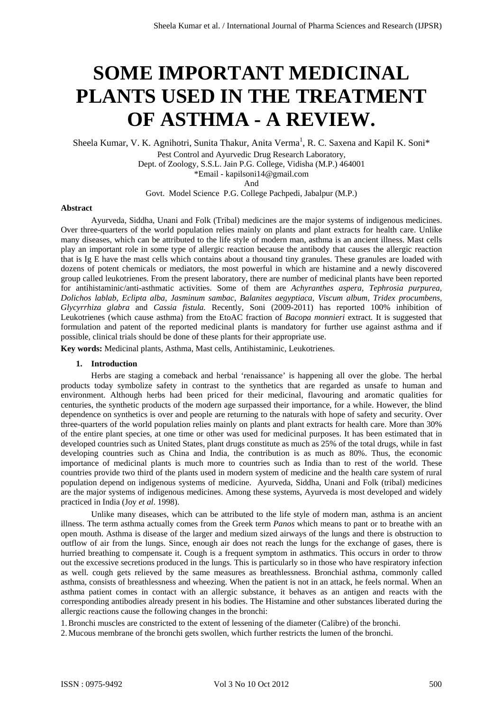# **SOME IMPORTANT MEDICINAL PLANTS USED IN THE TREATMENT OF ASTHMA - A REVIEW.**

Sheela Kumar, V. K. Agnihotri, Sunita Thakur, Anita Verma<sup>1</sup>, R. C. Saxena and Kapil K. Soni\*

Pest Control and Ayurvedic Drug Research Laboratory,

Dept. of Zoology, S.S.L. Jain P.G. College, Vidisha (M.P.) 464001 \*Email - kapilsoni14@gmail.com

And

Govt. Model Science P.G. College Pachpedi, Jabalpur (M.P.)

#### **Abstract**

Ayurveda, Siddha, Unani and Folk (Tribal) medicines are the major systems of indigenous medicines. Over three-quarters of the world population relies mainly on plants and plant extracts for health care. Unlike many diseases, which can be attributed to the life style of modern man, asthma is an ancient illness. Mast cells play an important role in some type of allergic reaction because the antibody that causes the allergic reaction that is Ig E have the mast cells which contains about a thousand tiny granules. These granules are loaded with dozens of potent chemicals or mediators, the most powerful in which are histamine and a newly discovered group called leukotrienes. From the present laboratory, there are number of medicinal plants have been reported for antihistaminic/anti-asthmatic activities. Some of them are *Achyranthes aspera*, *Tephrosia purpurea, Dolichos lablab, Eclipta alba, Jasminum sambac, Balanites aegyptiaca, Viscum album, Tridex procumbens, Glycyrrhiza glabra* and *Cassia fistula.* Recently, Soni (2009-2011) has reported 100% inhibition of Leukotrienes (which cause asthma) from the EtoAC fraction of *Bacopa monnieri* extract*.* It is suggested that formulation and patent of the reported medicinal plants is mandatory for further use against asthma and if possible, clinical trials should be done of these plants for their appropriate use.

**Key words:** Medicinal plants, Asthma, Mast cells, Antihistaminic, Leukotrienes.

## **1. Introduction**

Herbs are staging a comeback and herbal 'renaissance' is happening all over the globe. The herbal products today symbolize safety in contrast to the synthetics that are regarded as unsafe to human and environment. Although herbs had been priced for their medicinal, flavouring and aromatic qualities for centuries, the synthetic products of the modern age surpassed their importance, for a while. However, the blind dependence on synthetics is over and people are returning to the naturals with hope of safety and security. Over three-quarters of the world population relies mainly on plants and plant extracts for health care. More than 30% of the entire plant species, at one time or other was used for medicinal purposes. It has been estimated that in developed countries such as United States, plant drugs constitute as much as 25% of the total drugs, while in fast developing countries such as China and India, the contribution is as much as 80%. Thus, the economic importance of medicinal plants is much more to countries such as India than to rest of the world. These countries provide two third of the plants used in modern system of medicine and the health care system of rural population depend on indigenous systems of medicine. Ayurveda, Siddha, Unani and Folk (tribal) medicines are the major systems of indigenous medicines. Among these systems, Ayurveda is most developed and widely practiced in India (Joy *et al*. 1998).

Unlike many diseases, which can be attributed to the life style of modern man, asthma is an ancient illness. The term asthma actually comes from the Greek term *Panos* which means to pant or to breathe with an open mouth. Asthma is disease of the larger and medium sized airways of the lungs and there is obstruction to outflow of air from the lungs. Since, enough air does not reach the lungs for the exchange of gases, there is hurried breathing to compensate it. Cough is a frequent symptom in asthmatics. This occurs in order to throw out the excessive secretions produced in the lungs. This is particularly so in those who have respiratory infection as well. cough gets relieved by the same measures as breathlessness. Bronchial asthma, commonly called asthma, consists of breathlessness and wheezing. When the patient is not in an attack, he feels normal. When an asthma patient comes in contact with an allergic substance, it behaves as an antigen and reacts with the corresponding antibodies already present in his bodies. The Histamine and other substances liberated during the allergic reactions cause the following changes in the bronchi:

1.Bronchi muscles are constricted to the extent of lessening of the diameter (Calibre) of the bronchi.

2.Mucous membrane of the bronchi gets swollen, which further restricts the lumen of the bronchi.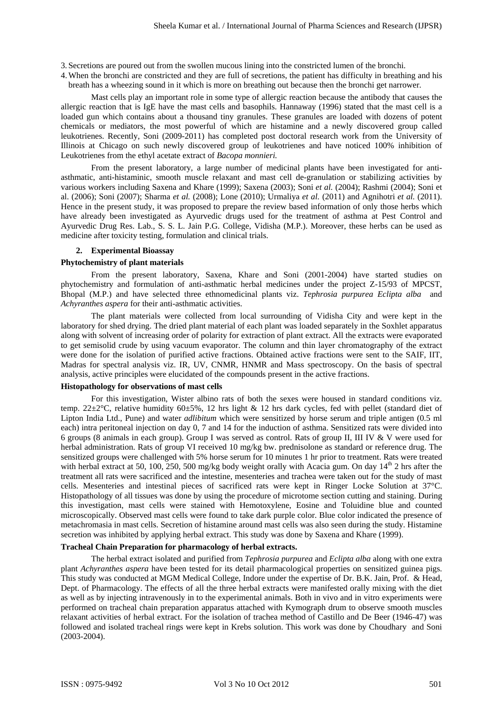3. Secretions are poured out from the swollen mucous lining into the constricted lumen of the bronchi.

4.When the bronchi are constricted and they are full of secretions, the patient has difficulty in breathing and his breath has a wheezing sound in it which is more on breathing out because then the bronchi get narrower.

Mast cells play an important role in some type of allergic reaction because the antibody that causes the allergic reaction that is IgE have the mast cells and basophils. Hannaway (1996) stated that the mast cell is a loaded gun which contains about a thousand tiny granules. These granules are loaded with dozens of potent chemicals or mediators, the most powerful of which are histamine and a newly discovered group called leukotrienes. Recently, Soni (2009-2011) has completed post doctoral research work from the University of Illinois at Chicago on such newly discovered group of leukotrienes and have noticed 100% inhibition of Leukotrienes from the ethyl acetate extract of *Bacopa monnieri.* 

From the present laboratory, a large number of medicinal plants have been investigated for antiasthmatic, anti-histaminic, smooth muscle relaxant and mast cell de-granulation or stabilizing activities by various workers including Saxena and Khare (1999); Saxena (2003); Soni *et al.* (2004); Rashmi (2004); Soni et al. (2006); Soni (2007); Sharma *et al.* (2008); Lone (2010); Urmaliya *et al.* (2011) and Agnihotri *et al.* (2011). Hence in the present study, it was proposed to prepare the review based information of only those herbs which have already been investigated as Ayurvedic drugs used for the treatment of asthma at Pest Control and Ayurvedic Drug Res. Lab., S. S. L. Jain P.G. College, Vidisha (M.P.). Moreover, these herbs can be used as medicine after toxicity testing, formulation and clinical trials.

#### **2. Experimental Bioassay**

#### **Phytochemistry of plant materials**

From the present laboratory, Saxena, Khare and Soni (2001-2004) have started studies on phytochemistry and formulation of anti-asthmatic herbal medicines under the project Z-15/93 of MPCST, Bhopal (M.P.) and have selected three ethnomedicinal plants viz. *Tephrosia purpurea Eclipta alba* and *Achyranthes aspera* for their anti-asthmatic activities.

The plant materials were collected from local surrounding of Vidisha City and were kept in the laboratory for shed drying. The dried plant material of each plant was loaded separately in the Soxhlet apparatus along with solvent of increasing order of polarity for extraction of plant extract. All the extracts were evaporated to get semisolid crude by using vacuum evaporator. The column and thin layer chromatography of the extract were done for the isolation of purified active fractions. Obtained active fractions were sent to the SAIF, IIT, Madras for spectral analysis viz. IR, UV, CNMR, HNMR and Mass spectroscopy. On the basis of spectral analysis, active principles were elucidated of the compounds present in the active fractions.

### **Histopathology for observations of mast cells**

For this investigation, Wister albino rats of both the sexes were housed in standard conditions viz. temp. 22±2°C, relative humidity 60±5%, 12 hrs light & 12 hrs dark cycles, fed with pellet (standard diet of Lipton India Ltd., Pune) and water *adlibitum* which were sensitized by horse serum and triple antigen (0.5 ml each) intra peritoneal injection on day 0, 7 and 14 for the induction of asthma. Sensitized rats were divided into 6 groups (8 animals in each group). Group I was served as control. Rats of group II, III IV & V were used for herbal administration. Rats of group VI received 10 mg/kg bw. prednisolone as standard or reference drug. The sensitized groups were challenged with 5% horse serum for 10 minutes 1 hr prior to treatment. Rats were treated with herbal extract at 50, 100, 250, 500 mg/kg body weight orally with Acacia gum. On day  $14<sup>th</sup>$  2 hrs after the treatment all rats were sacrificed and the intestine, mesenteries and trachea were taken out for the study of mast cells. Mesenteries and intestinal pieces of sacrificed rats were kept in Ringer Locke Solution at 37°C. Histopathology of all tissues was done by using the procedure of microtome section cutting and staining. During this investigation, mast cells were stained with Hemotoxylene, Eosine and Toluidine blue and counted microscopically. Observed mast cells were found to take dark purple color. Blue color indicated the presence of metachromasia in mast cells. Secretion of histamine around mast cells was also seen during the study. Histamine secretion was inhibited by applying herbal extract. This study was done by Saxena and Khare (1999).

### **Tracheal Chain Preparation for pharmacology of herbal extracts.**

The herbal extract isolated and purified from *Tephrosia purpurea* and *Eclipta alba* along with one extra plant *Achyranthes aspera* have been tested for its detail pharmacological properties on sensitized guinea pigs. This study was conducted at MGM Medical College, Indore under the expertise of Dr. B.K. Jain, Prof. & Head, Dept. of Pharmacology. The effects of all the three herbal extracts were manifested orally mixing with the diet as well as by injecting intravenously in to the experimental animals. Both in vivo and in vitro experiments were performed on tracheal chain preparation apparatus attached with Kymograph drum to observe smooth muscles relaxant activities of herbal extract. For the isolation of trachea method of Castillo and De Beer (1946-47) was followed and isolated tracheal rings were kept in Krebs solution. This work was done by Choudhary and Soni (2003-2004).